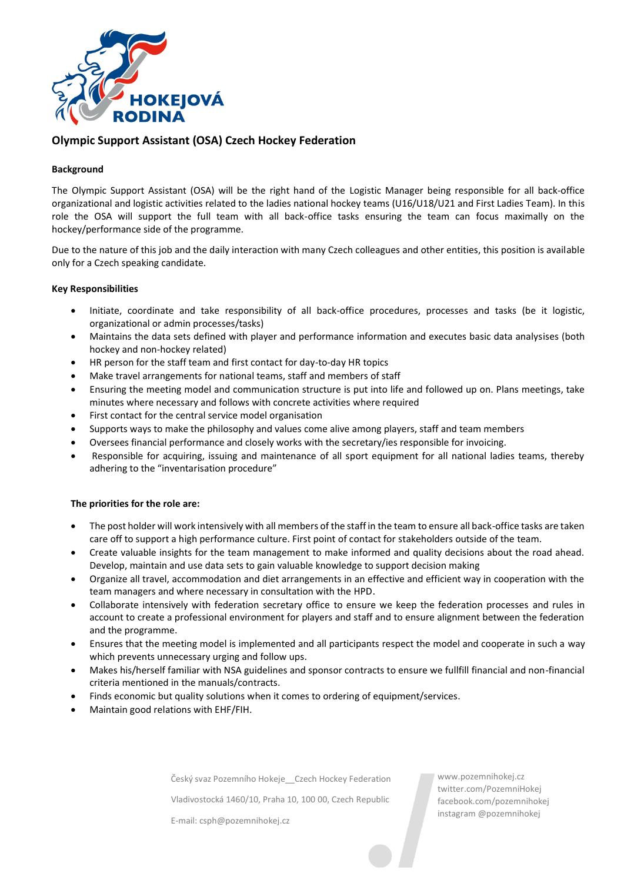

# **Olympic Support Assistant (OSA) Czech Hockey Federation**

### **Background**

The Olympic Support Assistant (OSA) will be the right hand of the Logistic Manager being responsible for all back-office organizational and logistic activities related to the ladies national hockey teams (U16/U18/U21 and First Ladies Team). In this role the OSA will support the full team with all back-office tasks ensuring the team can focus maximally on the hockey/performance side of the programme.

Due to the nature of this job and the daily interaction with many Czech colleagues and other entities, this position is available only for a Czech speaking candidate.

#### **Key Responsibilities**

- Initiate, coordinate and take responsibility of all back-office procedures, processes and tasks (be it logistic, organizational or admin processes/tasks)
- Maintains the data sets defined with player and performance information and executes basic data analysises (both hockey and non-hockey related)
- HR person for the staff team and first contact for day-to-day HR topics
- Make travel arrangements for national teams, staff and members of staff
- Ensuring the meeting model and communication structure is put into life and followed up on. Plans meetings, take minutes where necessary and follows with concrete activities where required
- First contact for the central service model organisation
- Supports ways to make the philosophy and values come alive among players, staff and team members
- Oversees financial performance and closely works with the secretary/ies responsible for invoicing.
- Responsible for acquiring, issuing and maintenance of all sport equipment for all national ladies teams, thereby adhering to the "inventarisation procedure"

#### **The priorities for the role are:**

- The post holder will work intensively with all members of the staff in the team to ensure all back-office tasks are taken care off to support a high performance culture. First point of contact for stakeholders outside of the team.
- Create valuable insights for the team management to make informed and quality decisions about the road ahead. Develop, maintain and use data sets to gain valuable knowledge to support decision making
- Organize all travel, accommodation and diet arrangements in an effective and efficient way in cooperation with the team managers and where necessary in consultation with the HPD.
- Collaborate intensively with federation secretary office to ensure we keep the federation processes and rules in account to create a professional environment for players and staff and to ensure alignment between the federation and the programme.
- Ensures that the meeting model is implemented and all participants respect the model and cooperate in such a way which prevents unnecessary urging and follow ups.
- Makes his/herself familiar with NSA guidelines and sponsor contracts to ensure we fullfill financial and non-financial criteria mentioned in the manuals/contracts.
- Finds economic but quality solutions when it comes to ordering of equipment/services.
- Maintain good relations with EHF/FIH.

Český svaz Pozemního Hokeje\_\_Czech Hockey Federation

Vladivostocká 1460/10, Praha 10, 100 00, Czech Republic

E-mail: csph@pozemnihokej.cz

www.pozemnihokej.cz twitter.com/PozemniHokej facebook.com/pozemnihokej instagram @pozemnihokej